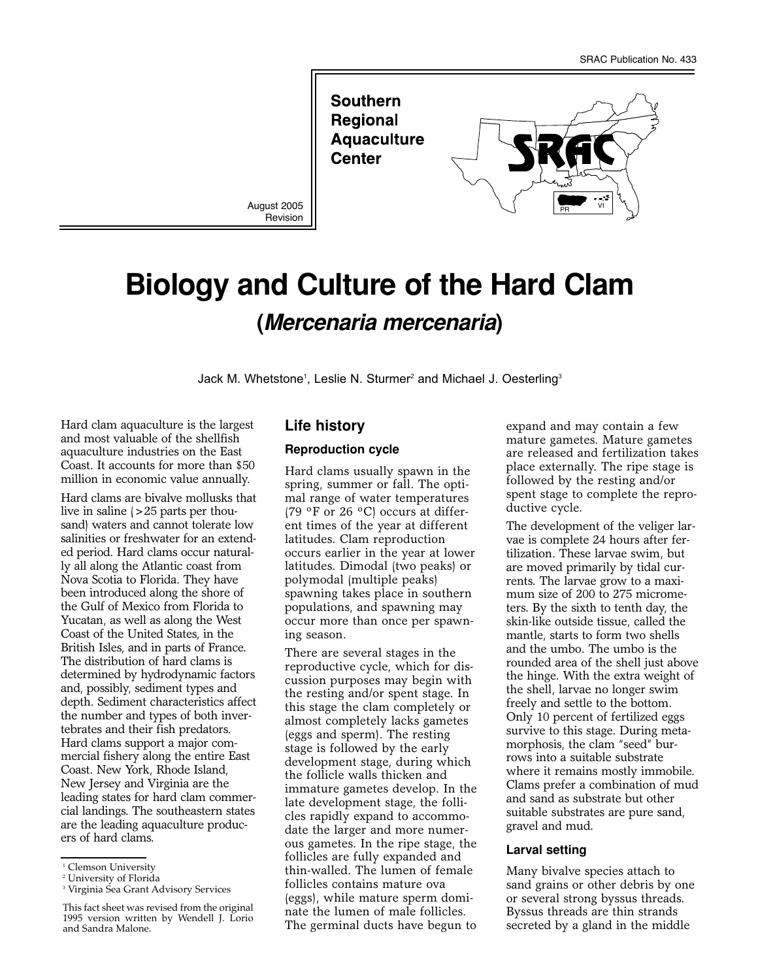**Southern Regional Aquaculture Center** 

August 2005 Revision



# **Biology and Culture of the Hard Clam (Mercenaria mercenaria)**

Jack M. Whetstone<sup>1</sup>, Leslie N. Sturmer<sup>2</sup> and Michael J. Oesterling<sup>3</sup>

Hard clam aquaculture is the largest and most valuable of the shellfish aquaculture industries on the East Coast. It accounts for more than \$50 million in economic value annually.

Hard clams are bivalve mollusks that live in saline (>25 parts per thousand) waters and cannot tolerate low salinities or freshwater for an extended period. Hard clams occur naturally all along the Atlantic coast from Nova Scotia to Florida. They have been introduced along the shore of the Gulf of Mexico from Florida to Yucatan, as well as along the West Coast of the United States, in the British Isles, and in parts of France. The distribution of hard clams is determined by hydrodynamic factors and, possibly, sediment types and depth. Sediment characteristics affect the number and types of both invertebrates and their fish predators. Hard clams support a major commercial fishery along the entire East Coast. New York, Rhode Island, New Jersey and Virginia are the leading states for hard clam commercial landings. The southeastern states are the leading aquaculture producers of hard clams.

## **Life history**

#### **Reproduction cycle**

Hard clams usually spawn in the spring, summer or fall. The optimal range of water temperatures (79  $\mathrm{^oF}$  or 26  $\mathrm{^oC}$ ) occurs at different times of the year at different latitudes. Clam reproduction occurs earlier in the year at lower latitudes. Dimodal (two peaks) or polymodal (multiple peaks) spawning takes place in southern populations, and spawning may occur more than once per spawning season.

There are several stages in the reproductive cycle, which for discussion purposes may begin with the resting and/or spent stage. In this stage the clam completely or almost completely lacks gametes (eggs and sperm). The resting stage is followed by the early development stage, during which the follicle walls thicken and immature gametes develop. In the late development stage, the follicles rapidly expand to accommodate the larger and more numerous gametes. In the ripe stage, the follicles are fully expanded and thin-walled. The lumen of female follicles contains mature ova (eggs), while mature sperm dominate the lumen of male follicles. The germinal ducts have begun to

expand and may contain a few mature gametes. Mature gametes are released and fertilization takes place externally. The ripe stage is followed by the resting and/or spent stage to complete the reproductive cycle.

The development of the veliger larvae is complete 24 hours after fertilization. These larvae swim, but are moved primarily by tidal currents. The larvae grow to a maximum size of 200 to 275 micrometers. By the sixth to tenth day, the skin-like outside tissue, called the mantle, starts to form two shells and the umbo. The umbo is the rounded area of the shell just above the hinge. With the extra weight of the shell, larvae no longer swim freely and settle to the bottom. Only 10 percent of fertilized eggs survive to this stage. During metamorphosis, the clam "seed" burrows into a suitable substrate where it remains mostly immobile. Clams prefer a combination of mud and sand as substrate but other suitable substrates are pure sand, gravel and mud.

#### **Larval setting**

Many bivalve species attach to sand grains or other debris by one or several strong byssus threads. Byssus threads are thin strands secreted by a gland in the middle

<sup>&</sup>lt;sup>1</sup> Clemson University

<sup>2</sup> University of Florida

<sup>&</sup>lt;sup>3</sup> Virginia Sea Grant Advisory Services

This fact sheet was revised from the original 1995 version written by Wendell J. Lorio and Sandra Malone.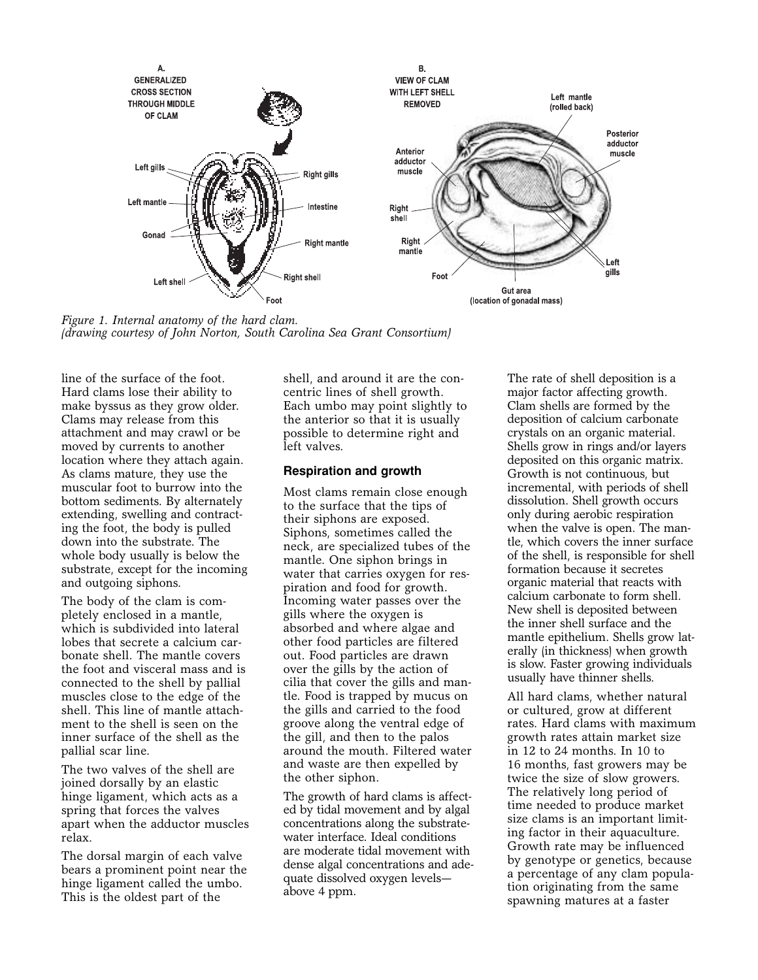

*Figure 1. Internal anatomy of the hard clam. (drawing courtesy of John Norton, South Carolina Sea Grant Consortium)*

line of the surface of the foot. Hard clams lose their ability to make byssus as they grow older. Clams may release from this attachment and may crawl or be moved by currents to another location where they attach again. As clams mature, they use the muscular foot to burrow into the bottom sediments. By alternately extending, swelling and contracting the foot, the body is pulled down into the substrate. The whole body usually is below the substrate, except for the incoming and outgoing siphons.

The body of the clam is completely enclosed in a mantle, which is subdivided into lateral lobes that secrete a calcium carbonate shell. The mantle covers the foot and visceral mass and is connected to the shell by pallial muscles close to the edge of the shell. This line of mantle attachment to the shell is seen on the inner surface of the shell as the pallial scar line.

The two valves of the shell are joined dorsally by an elastic hinge ligament, which acts as a spring that forces the valves apart when the adductor muscles relax.

The dorsal margin of each valve bears a prominent point near the hinge ligament called the umbo. This is the oldest part of the

shell, and around it are the concentric lines of shell growth. Each umbo may point slightly to the anterior so that it is usually possible to determine right and left valves.

### **Respiration and growth**

Most clams remain close enough to the surface that the tips of their siphons are exposed. Siphons, sometimes called the neck, are specialized tubes of the mantle. One siphon brings in water that carries oxygen for respiration and food for growth. Incoming water passes over the gills where the oxygen is absorbed and where algae and other food particles are filtered out. Food particles are drawn over the gills by the action of cilia that cover the gills and mantle. Food is trapped by mucus on the gills and carried to the food groove along the ventral edge of the gill, and then to the palos around the mouth. Filtered water and waste are then expelled by the other siphon.

The growth of hard clams is affected by tidal movement and by algal concentrations along the substratewater interface. Ideal conditions are moderate tidal movement with dense algal concentrations and adequate dissolved oxygen levels above 4 ppm.

The rate of shell deposition is a major factor affecting growth. Clam shells are formed by the deposition of calcium carbonate crystals on an organic material. Shells grow in rings and/or layers deposited on this organic matrix. Growth is not continuous, but incremental, with periods of shell dissolution. Shell growth occurs only during aerobic respiration when the valve is open. The mantle, which covers the inner surface of the shell, is responsible for shell formation because it secretes organic material that reacts with calcium carbonate to form shell. New shell is deposited between the inner shell surface and the mantle epithelium. Shells grow laterally (in thickness) when growth is slow. Faster growing individuals usually have thinner shells.

All hard clams, whether natural or cultured, grow at different rates. Hard clams with maximum growth rates attain market size in 12 to 24 months. In 10 to 16 months, fast growers may be twice the size of slow growers. The relatively long period of time needed to produce market size clams is an important limiting factor in their aquaculture. Growth rate may be influenced by genotype or genetics, because a percentage of any clam population originating from the same spawning matures at a faster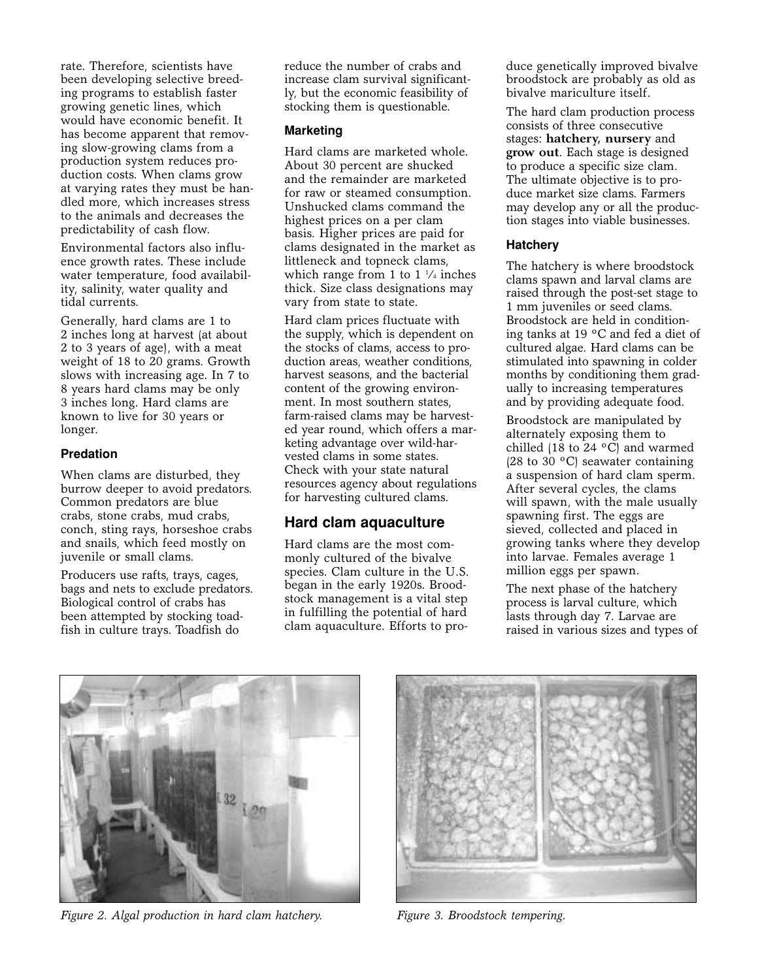rate. Therefore, scientists have been developing selective breeding programs to establish faster growing genetic lines, which would have economic benefit. It has become apparent that removing slow-growing clams from a production system reduces production costs. When clams grow at varying rates they must be handled more, which increases stress to the animals and decreases the predictability of cash flow.

Environmental factors also influence growth rates. These include water temperature, food availability, salinity, water quality and tidal currents.

Generally, hard clams are 1 to 2 inches long at harvest (at about 2 to 3 years of age), with a meat weight of 18 to 20 grams. Growth slows with increasing age. In 7 to 8 years hard clams may be only 3 inches long. Hard clams are known to live for 30 years or longer.

## **Predation**

When clams are disturbed, they burrow deeper to avoid predators. Common predators are blue crabs, stone crabs, mud crabs, conch, sting rays, horseshoe crabs and snails, which feed mostly on juvenile or small clams.

Producers use rafts, trays, cages, bags and nets to exclude predators. Biological control of crabs has been attempted by stocking toadfish in culture trays. Toadfish do

reduce the number of crabs and increase clam survival significantly, but the economic feasibility of stocking them is questionable.

#### **Marketing**

Hard clams are marketed whole. About 30 percent are shucked and the remainder are marketed for raw or steamed consumption. Unshucked clams command the highest prices on a per clam basis. Higher prices are paid for clams designated in the market as littleneck and topneck clams, which range from 1 to  $1 \frac{1}{4}$  inches thick. Size class designations may vary from state to state.

Hard clam prices fluctuate with the supply, which is dependent on the stocks of clams, access to production areas, weather conditions, harvest seasons, and the bacterial content of the growing environment. In most southern states, farm-raised clams may be harvested year round, which offers a marketing advantage over wild-harvested clams in some states. Check with your state natural resources agency about regulations for harvesting cultured clams.

## **Hard clam aquaculture**

Hard clams are the most commonly cultured of the bivalve species. Clam culture in the U.S. began in the early 1920s. Broodstock management is a vital step in fulfilling the potential of hard clam aquaculture. Efforts to produce genetically improved bivalve broodstock are probably as old as bivalve mariculture itself.

The hard clam production process consists of three consecutive stages: **hatchery, nursery** and **grow out**. Each stage is designed to produce a specific size clam. The ultimate objective is to produce market size clams. Farmers may develop any or all the production stages into viable businesses.

#### **Hatchery**

The hatchery is where broodstock clams spawn and larval clams are raised through the post-set stage to 1 mm juveniles or seed clams. Broodstock are held in conditioning tanks at 19 ºC and fed a diet of cultured algae. Hard clams can be stimulated into spawning in colder months by conditioning them gradually to increasing temperatures and by providing adequate food.

Broodstock are manipulated by alternately exposing them to chilled (18 to 24  $\,^{\circ}$ C) and warmed (28 to 30 ºC) seawater containing a suspension of hard clam sperm. After several cycles, the clams will spawn, with the male usually spawning first. The eggs are sieved, collected and placed in growing tanks where they develop into larvae. Females average 1 million eggs per spawn.

The next phase of the hatchery process is larval culture, which lasts through day 7. Larvae are raised in various sizes and types of



*Figure 2. Algal production in hard clam hatchery. Figure 3. Broodstock tempering.*

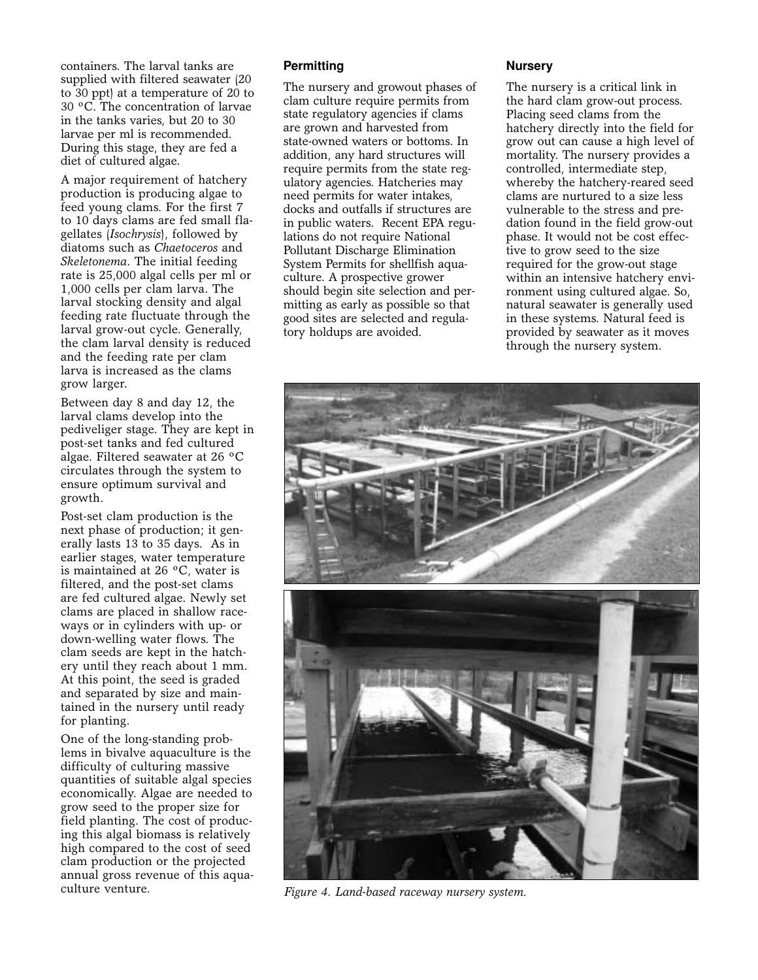containers. The larval tanks are supplied with filtered seawater (20 to 30 ppt) at a temperature of 20 to 30 ºC. The concentration of larvae in the tanks varies, but 20 to 30 larvae per ml is recommended. During this stage, they are fed a diet of cultured algae.

A major requirement of hatchery production is producing algae to feed young clams. For the first 7 to 10 days clams are fed small flagellates (*Isochrysis*), followed by diatoms such as *Chaetoceros* and *Skeletonema*. The initial feeding rate is 25,000 algal cells per ml or 1,000 cells per clam larva. The larval stocking density and algal feeding rate fluctuate through the larval grow-out cycle. Generally, the clam larval density is reduced and the feeding rate per clam larva is increased as the clams grow larger.

Between day 8 and day 12, the larval clams develop into the pediveliger stage. They are kept in post-set tanks and fed cultured algae. Filtered seawater at 26 ºC circulates through the system to ensure optimum survival and growth.

Post-set clam production is the next phase of production; it generally lasts 13 to 35 days. As in earlier stages, water temperature is maintained at 26 ºC, water is filtered, and the post-set clams are fed cultured algae. Newly set clams are placed in shallow raceways or in cylinders with up- or down-welling water flows. The clam seeds are kept in the hatchery until they reach about 1 mm. At this point, the seed is graded and separated by size and maintained in the nursery until ready for planting.

One of the long-standing problems in bivalve aquaculture is the difficulty of culturing massive quantities of suitable algal species economically. Algae are needed to grow seed to the proper size for field planting. The cost of producing this algal biomass is relatively high compared to the cost of seed clam production or the projected annual gross revenue of this aquaculture venture.

## **Permitting**

The nursery and growout phases of clam culture require permits from state regulatory agencies if clams are grown and harvested from state-owned waters or bottoms. In addition, any hard structures will require permits from the state regulatory agencies. Hatcheries may need permits for water intakes, docks and outfalls if structures are in public waters. Recent EPA regulations do not require National Pollutant Discharge Elimination System Permits for shellfish aquaculture. A prospective grower should begin site selection and permitting as early as possible so that good sites are selected and regulatory holdups are avoided.

#### **Nursery**

The nursery is a critical link in the hard clam grow-out process. Placing seed clams from the hatchery directly into the field for grow out can cause a high level of mortality. The nursery provides a controlled, intermediate step, whereby the hatchery-reared seed clams are nurtured to a size less vulnerable to the stress and predation found in the field grow-out phase. It would not be cost effective to grow seed to the size required for the grow-out stage within an intensive hatchery environment using cultured algae. So, natural seawater is generally used in these systems. Natural feed is provided by seawater as it moves through the nursery system.



*Figure 4. Land-based raceway nursery system.*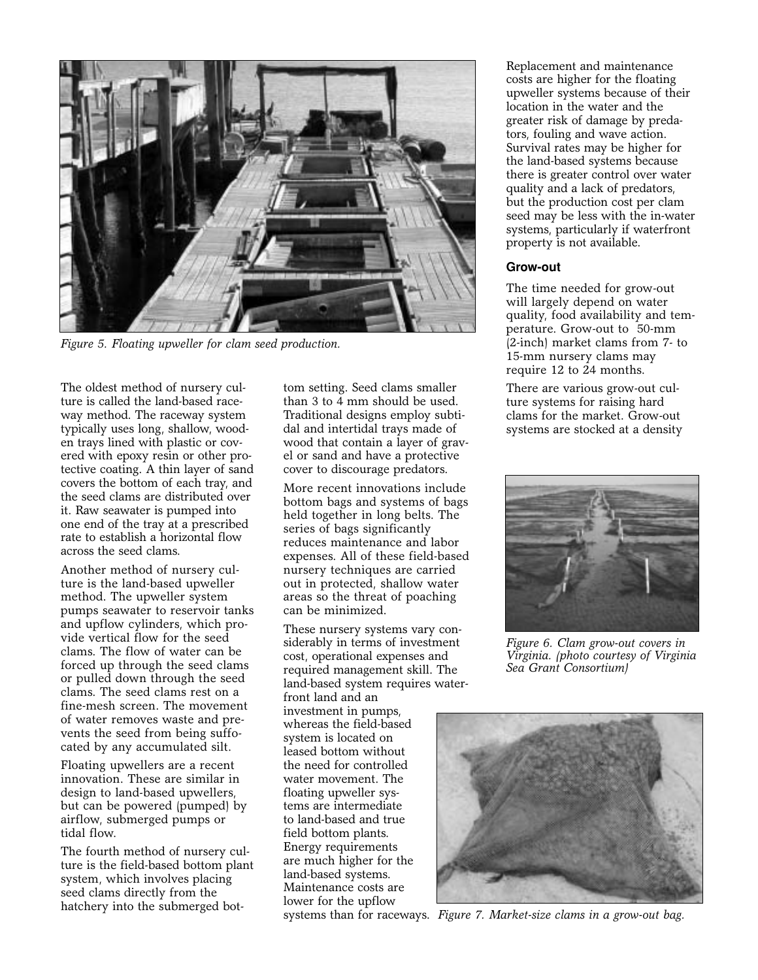

*Figure 5. Floating upweller for clam seed production.*

The oldest method of nursery culture is called the land-based raceway method. The raceway system typically uses long, shallow, wooden trays lined with plastic or covered with epoxy resin or other protective coating. A thin layer of sand covers the bottom of each tray, and the seed clams are distributed over it. Raw seawater is pumped into one end of the tray at a prescribed rate to establish a horizontal flow across the seed clams.

Another method of nursery culture is the land-based upweller method. The upweller system pumps seawater to reservoir tanks and upflow cylinders, which provide vertical flow for the seed clams. The flow of water can be forced up through the seed clams or pulled down through the seed clams. The seed clams rest on a fine-mesh screen. The movement of water removes waste and prevents the seed from being suffocated by any accumulated silt.

Floating upwellers are a recent innovation. These are similar in design to land-based upwellers, but can be powered (pumped) by airflow, submerged pumps or tidal flow.

The fourth method of nursery culture is the field-based bottom plant system, which involves placing seed clams directly from the hatchery into the submerged bottom setting. Seed clams smaller than 3 to 4 mm should be used. Traditional designs employ subtidal and intertidal trays made of wood that contain a layer of gravel or sand and have a protective cover to discourage predators.

More recent innovations include bottom bags and systems of bags held together in long belts. The series of bags significantly reduces maintenance and labor expenses. All of these field-based nursery techniques are carried out in protected, shallow water areas so the threat of poaching can be minimized.

These nursery systems vary considerably in terms of investment cost, operational expenses and required management skill. The land-based system requires water-

front land and an investment in pumps, whereas the field-based system is located on leased bottom without the need for controlled water movement. The floating upweller systems are intermediate to land-based and true field bottom plants. Energy requirements are much higher for the land-based systems. Maintenance costs are lower for the upflow

Replacement and maintenance costs are higher for the floating upweller systems because of their location in the water and the greater risk of damage by predators, fouling and wave action. Survival rates may be higher for the land-based systems because there is greater control over water quality and a lack of predators, but the production cost per clam seed may be less with the in-water systems, particularly if waterfront property is not available.

## **Grow-out**

The time needed for grow-out will largely depend on water quality, food availability and temperature. Grow-out to 50-mm (2-inch) market clams from 7- to 15-mm nursery clams may require 12 to 24 months.

There are various grow-out culture systems for raising hard clams for the market. Grow-out systems are stocked at a density



*Figure 6. Clam grow-out covers in Virginia. (photo courtesy of Virginia Sea Grant Consortium)*



systems than for raceways. *Figure 7. Market-size clams in a grow-out bag.*